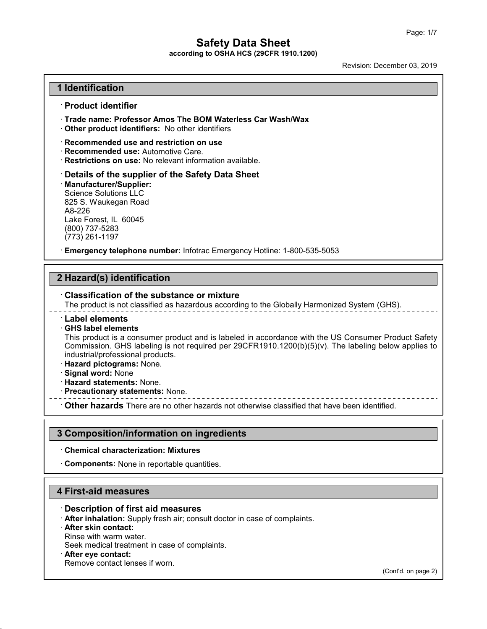**according to OSHA HCS (29CFR 1910.1200)**

Revision: December 03, 2019

#### **1 Identification**

#### · **Product identifier**

- · **Trade name: Professor Amos The BOM Waterless Car Wash/Wax**
- · **Other product identifiers:** No other identifiers
- · **Recommended use and restriction on use**
- · **Recommended use:** Automotive Care.
- · **Restrictions on use:** No relevant information available.

· **Details of the supplier of the Safety Data Sheet** · **Manufacturer/Supplier:** Science Solutions LLC 825 S. Waukegan Road A8-226 Lake Forest, IL 60045 (800) 737-5283 (773) 261-1197

· **Emergency telephone number:** Infotrac Emergency Hotline: 1-800-535-5053

### **2 Hazard(s) identification**

#### · **Classification of the substance or mixture**

The product is not classified as hazardous according to the Globally Harmonized System (GHS).

#### · **Label elements**

#### · **GHS label elements**

This product is a consumer product and is labeled in accordance with the US Consumer Product Safety Commission. GHS labeling is not required per  $29CFR1910.1200(b)(5)(v)$ . The labeling below applies to industrial/professional products.

- · **Hazard pictograms:** None.
- · **Signal word:** None
- · **Hazard statements:** None.
- · **Precautionary statements:** None.

· **Other hazards** There are no other hazards nototherwise classified that have been identified.

#### **3 Composition/information on ingredients**

#### · **Chemical characterization: Mixtures**

· **Components:** None in reportable quantities.

#### **4 First-aid measures**

- · **Description of first aid measures**
- · **After inhalation:** Supply fresh air; consult doctor in case of complaints.
- · **After skin contact:**
- Rinse with warm water.
- Seek medical treatment in case of complaints.
- · **After eye contact:**

49.4.0

Remove contact lenses if worn.

(Cont'd. on page 2)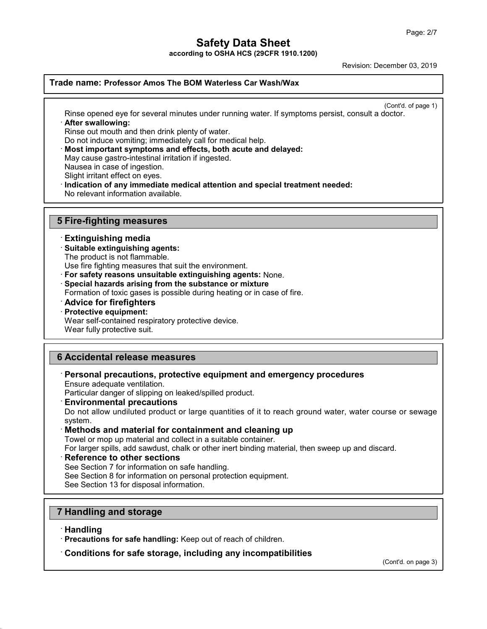**according to OSHA HCS (29CFR 1910.1200)**

Revision: December 03, 2019

### **Trade name: Professor Amos The BOM Waterless Car Wash/Wax**

(Cont'd. of page 1)

Rinse opened eye for several minutes under running water. If symptoms persist, consult a doctor. · **After swallowing:**

Rinse out mouth and then drink plenty of water.

Do not induce vomiting; immediately call for medical help.

- · **Most important symptoms and effects, both acute and delayed:**
- May cause gastro-intestinal irritation if ingested.

Nausea in case of ingestion.

Slight irritant effect on eyes.

· **Indication of any immediate medical attention and special treatment needed:**

No relevant information available.

### **5 Fire-fighting measures**

#### · **Extinguishing media**

- · **Suitable extinguishing agents:**
- The product is not flammable.

Use fire fighting measures that suit the environment.

· **For safety reasons unsuitable extinguishing agents:** None.

· **Special hazards arising from the substance or mixture**

Formation of toxic gases is possible during heating or in case of fire.

- · **Advice for firefighters**
- · **Protective equipment:**

Wear self-contained respiratory protective device.

Wear fully protective suit.

#### **6 Accidental release measures**

## · **Personal precautions, protective equipment and emergency procedures**

Ensure adequate ventilation.

Particular danger of slipping on leaked/spilled product.

#### · **Environmental precautions**

Do not allow undiluted product or large quantities of it to reach ground water, water course or sewage system.

#### · **Methods and material for containment and cleaning up**

Towel or mop up material and collect in a suitable container.

For larger spills, add sawdust, chalk or other inert binding material, then sweep up and discard.

#### · **Reference to other sections**

See Section 7 for information on safe handling.

See Section 8 for information on personal protection equipment.

See Section 13 for disposal information.

### **7 Handling and storage**

#### · **Handling**

49.4.0

· **Precautions for safe handling:** Keep out of reach of children.

#### · **Conditions for safe storage, including any incompatibilities**

(Cont'd. on page 3)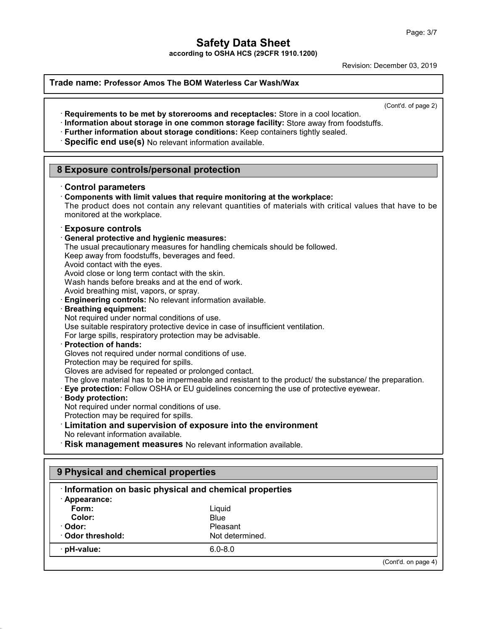**according to OSHA HCS (29CFR 1910.1200)**

Revision: December 03, 2019

| Specific end use(s) No relevant information available.                                                                                                                                                                                                                                                                                                                                                                                                                                                                                                                                                                                                                                                                                                                                                                                                                 | (Cont'd. of page 2)<br>Requirements to be met by storerooms and receptacles: Store in a cool location.<br>· Information about storage in one common storage facility: Store away from foodstuffs.<br>· Further information about storage conditions: Keep containers tightly sealed.                                                                                                                                                                                                                    |  |  |  |
|------------------------------------------------------------------------------------------------------------------------------------------------------------------------------------------------------------------------------------------------------------------------------------------------------------------------------------------------------------------------------------------------------------------------------------------------------------------------------------------------------------------------------------------------------------------------------------------------------------------------------------------------------------------------------------------------------------------------------------------------------------------------------------------------------------------------------------------------------------------------|---------------------------------------------------------------------------------------------------------------------------------------------------------------------------------------------------------------------------------------------------------------------------------------------------------------------------------------------------------------------------------------------------------------------------------------------------------------------------------------------------------|--|--|--|
| 8 Exposure controls/personal protection                                                                                                                                                                                                                                                                                                                                                                                                                                                                                                                                                                                                                                                                                                                                                                                                                                |                                                                                                                                                                                                                                                                                                                                                                                                                                                                                                         |  |  |  |
| <b>Control parameters</b><br>monitored at the workplace.                                                                                                                                                                                                                                                                                                                                                                                                                                                                                                                                                                                                                                                                                                                                                                                                               | Components with limit values that require monitoring at the workplace:<br>The product does not contain any relevant quantities of materials with critical values that have to be                                                                                                                                                                                                                                                                                                                        |  |  |  |
| <b>Exposure controls</b><br><b>General protective and hygienic measures:</b><br>Keep away from foodstuffs, beverages and feed.<br>Avoid contact with the eyes.<br>Avoid close or long term contact with the skin.<br>Wash hands before breaks and at the end of work.<br>Avoid breathing mist, vapors, or spray.<br>Engineering controls: No relevant information available.<br><b>Breathing equipment:</b><br>Not required under normal conditions of use.<br>For large spills, respiratory protection may be advisable.<br>Protection of hands:<br>Gloves not required under normal conditions of use.<br>Protection may be required for spills.<br>Gloves are advised for repeated or prolonged contact.<br><b>Body protection:</b><br>Not required under normal conditions of use.<br>Protection may be required for spills.<br>No relevant information available. | The usual precautionary measures for handling chemicals should be followed.<br>Use suitable respiratory protective device in case of insufficient ventilation.<br>The glove material has to be impermeable and resistant to the product/ the substance/ the preparation.<br>Eye protection: Follow OSHA or EU guidelines concerning the use of protective eyewear.<br><b>Limitation and supervision of exposure into the environment</b><br>Risk management measures No relevant information available. |  |  |  |
|                                                                                                                                                                                                                                                                                                                                                                                                                                                                                                                                                                                                                                                                                                                                                                                                                                                                        |                                                                                                                                                                                                                                                                                                                                                                                                                                                                                                         |  |  |  |
| 9 Physical and chemical properties                                                                                                                                                                                                                                                                                                                                                                                                                                                                                                                                                                                                                                                                                                                                                                                                                                     | Information on basic physical and chemical properties                                                                                                                                                                                                                                                                                                                                                                                                                                                   |  |  |  |
| · Appearance:                                                                                                                                                                                                                                                                                                                                                                                                                                                                                                                                                                                                                                                                                                                                                                                                                                                          |                                                                                                                                                                                                                                                                                                                                                                                                                                                                                                         |  |  |  |
| Form:<br>Color:                                                                                                                                                                                                                                                                                                                                                                                                                                                                                                                                                                                                                                                                                                                                                                                                                                                        | Liquid<br><b>Blue</b>                                                                                                                                                                                                                                                                                                                                                                                                                                                                                   |  |  |  |
| · Odor:                                                                                                                                                                                                                                                                                                                                                                                                                                                                                                                                                                                                                                                                                                                                                                                                                                                                | Pleasant                                                                                                                                                                                                                                                                                                                                                                                                                                                                                                |  |  |  |
|                                                                                                                                                                                                                                                                                                                                                                                                                                                                                                                                                                                                                                                                                                                                                                                                                                                                        | Not determined.                                                                                                                                                                                                                                                                                                                                                                                                                                                                                         |  |  |  |
| Odor threshold:                                                                                                                                                                                                                                                                                                                                                                                                                                                                                                                                                                                                                                                                                                                                                                                                                                                        |                                                                                                                                                                                                                                                                                                                                                                                                                                                                                                         |  |  |  |

49.4.0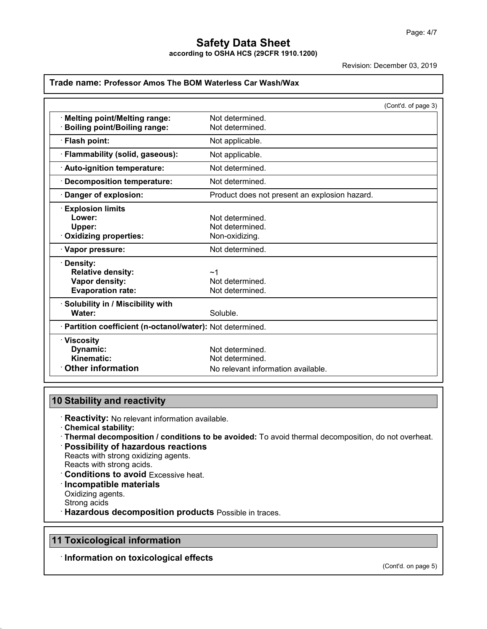**according to OSHA HCS (29CFR 1910.1200)**

Revision: December 03, 2019

|                                                            |                                               | (Cont'd. of page 3) |
|------------------------------------------------------------|-----------------------------------------------|---------------------|
| Melting point/Melting range:                               | Not determined.                               |                     |
| <b>Boiling point/Boiling range:</b>                        | Not determined.                               |                     |
| · Flash point:                                             | Not applicable.                               |                     |
| · Flammability (solid, gaseous):                           | Not applicable.                               |                     |
| · Auto-ignition temperature:                               | Not determined.                               |                     |
| · Decomposition temperature:                               | Not determined.                               |                     |
| Danger of explosion:                                       | Product does not present an explosion hazard. |                     |
| <b>Explosion limits</b>                                    |                                               |                     |
| Lower:                                                     | Not determined.                               |                     |
| Upper:                                                     | Not determined.                               |                     |
| Oxidizing properties:                                      | Non-oxidizing.                                |                     |
| · Vapor pressure:                                          | Not determined.                               |                     |
| · Density:                                                 |                                               |                     |
| <b>Relative density:</b>                                   | ~1                                            |                     |
| Vapor density:                                             | Not determined.                               |                     |
| <b>Evaporation rate:</b>                                   | Not determined.                               |                     |
| · Solubility in / Miscibility with                         |                                               |                     |
| Water:                                                     | Soluble.                                      |                     |
| · Partition coefficient (n-octanol/water): Not determined. |                                               |                     |
| $\cdot$ Viscosity                                          |                                               |                     |
| Dynamic:                                                   | Not determined.                               |                     |
| Kinematic:                                                 | Not determined.                               |                     |
| <b>Other information</b>                                   | No relevant information available.            |                     |

## **10 Stability and reactivity**

· **Reactivity:** No relevant information available.

- · **Chemical stability:**
- · **Thermal decomposition / conditions to be avoided:** To avoid thermal decomposition, do not overheat. · **Possibility of hazardous reactions**
- Reacts with strong oxidizing agents. Reacts with strong acids.
- · **Conditions to avoid** Excessive heat. · **Incompatible materials** Oxidizing agents. Strong acids
- · **Hazardous decomposition products** Possible in traces.

## **11 Toxicological information**

49.4.0

· **Information on toxicological effects**

(Cont'd. on page 5)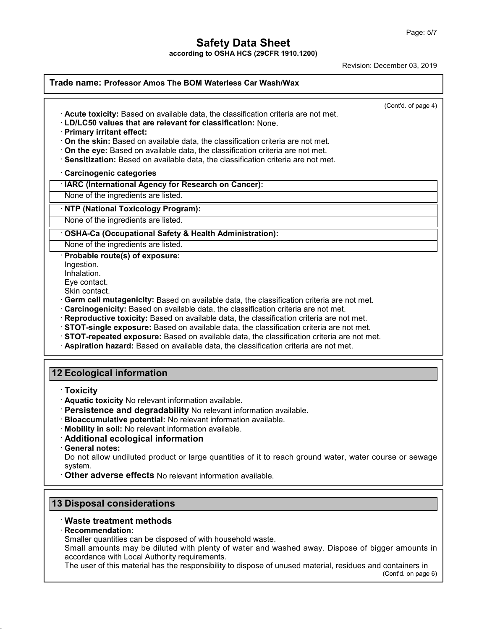**according to OSHA HCS (29CFR 1910.1200)**

Revision: December 03, 2019

| Trade name: Professor Amos The BOM Waterless Car Wash/Wax                                                                                                                                                                                                                                                                                                                                                                                                                                                                                                                                                                                                             |                     |  |
|-----------------------------------------------------------------------------------------------------------------------------------------------------------------------------------------------------------------------------------------------------------------------------------------------------------------------------------------------------------------------------------------------------------------------------------------------------------------------------------------------------------------------------------------------------------------------------------------------------------------------------------------------------------------------|---------------------|--|
| Acute toxicity: Based on available data, the classification criteria are not met.<br>· LD/LC50 values that are relevant for classification: None.<br>· Primary irritant effect:<br>On the skin: Based on available data, the classification criteria are not met.                                                                                                                                                                                                                                                                                                                                                                                                     | (Cont'd. of page 4) |  |
| On the eye: Based on available data, the classification criteria are not met.<br>· Sensitization: Based on available data, the classification criteria are not met.                                                                                                                                                                                                                                                                                                                                                                                                                                                                                                   |                     |  |
| Carcinogenic categories                                                                                                                                                                                                                                                                                                                                                                                                                                                                                                                                                                                                                                               |                     |  |
| · IARC (International Agency for Research on Cancer):                                                                                                                                                                                                                                                                                                                                                                                                                                                                                                                                                                                                                 |                     |  |
| None of the ingredients are listed.                                                                                                                                                                                                                                                                                                                                                                                                                                                                                                                                                                                                                                   |                     |  |
| · NTP (National Toxicology Program):                                                                                                                                                                                                                                                                                                                                                                                                                                                                                                                                                                                                                                  |                     |  |
| None of the ingredients are listed.                                                                                                                                                                                                                                                                                                                                                                                                                                                                                                                                                                                                                                   |                     |  |
| · OSHA-Ca (Occupational Safety & Health Administration):                                                                                                                                                                                                                                                                                                                                                                                                                                                                                                                                                                                                              |                     |  |
| None of the ingredients are listed.                                                                                                                                                                                                                                                                                                                                                                                                                                                                                                                                                                                                                                   |                     |  |
| · Probable route(s) of exposure:<br>Ingestion.<br>Inhalation.<br>Eye contact.<br>Skin contact.<br>· Germ cell mutagenicity: Based on available data, the classification criteria are not met.<br>Carcinogenicity: Based on available data, the classification criteria are not met.<br>· Reproductive toxicity: Based on available data, the classification criteria are not met.<br>· STOT-single exposure: Based on available data, the classification criteria are not met.<br>STOT-repeated exposure: Based on available data, the classification criteria are not met.<br>· Aspiration hazard: Based on available data, the classification criteria are not met. |                     |  |
| 12 Ecological information<br>$\cdot$ Toxicity                                                                                                                                                                                                                                                                                                                                                                                                                                                                                                                                                                                                                         |                     |  |

- · **Aquatic toxicity** No relevant information available.
- · **Persistence and degradability** No relevant information available.
- · **Bioaccumulative potential:** No relevant information available.
- · **Mobility in soil:** No relevant information available.
- · **Additional ecological information**
- · **General notes:**

Do not allow undiluted product or large quantities of it to reach ground water, water course or sewage system.

· **Other adverse effects** No relevant information available.

## **13 Disposal considerations**

### · **Waste treatment methods**

#### · **Recommendation:**

49.4.0

Smaller quantities can be disposed of with household waste.

Small amounts may be diluted with plenty of water and washed away. Dispose of bigger amounts in accordance with Local Authority requirements.

The user of this material has the responsibility to dispose of unused material, residues and containers in

(Cont'd. on page 6)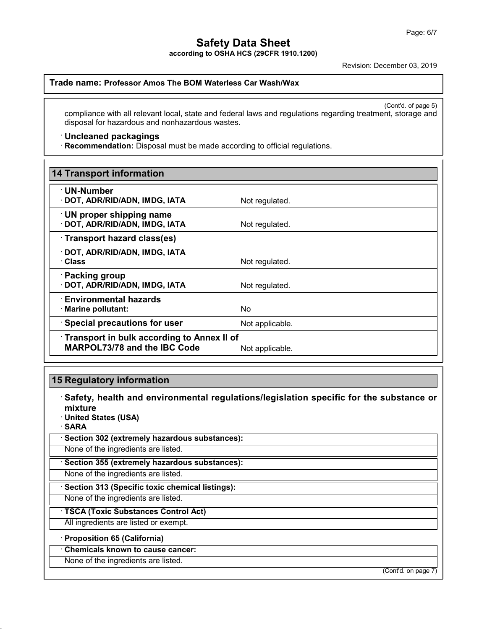**according to OSHA HCS (29CFR 1910.1200)**

Revision: December 03, 2019

### **Trade name: Professor Amos The BOM Waterless Car Wash/Wax**

(Cont'd. of page 5) compliance with all relevant local, state and federal laws and regulations regarding treatment, storage and disposal for hazardous and nonhazardous wastes.

#### · **Uncleaned packagings**

· **Recommendation:** Disposal must be made according to official regulations.

| <b>14 Transport information</b>                                                   |                 |  |
|-----------------------------------------------------------------------------------|-----------------|--|
| · UN-Number<br>· DOT, ADR/RID/ADN, IMDG, IATA                                     | Not regulated.  |  |
| <b>UN proper shipping name</b><br>· DOT, ADR/RID/ADN, IMDG, IATA                  | Not regulated.  |  |
| Transport hazard class(es)                                                        |                 |  |
| · DOT, ADR/RID/ADN, IMDG, IATA<br>· Class                                         | Not regulated.  |  |
| · Packing group<br>· DOT, ADR/RID/ADN, IMDG, IATA                                 | Not regulated.  |  |
| <b>Environmental hazards</b><br>· Marine pollutant:                               | No.             |  |
| <b>Special precautions for user</b>                                               | Not applicable. |  |
| Transport in bulk according to Annex II of<br><b>MARPOL73/78 and the IBC Code</b> | Not applicable. |  |

### **15 Regulatory information**

· **Safety, health and environmental regulations/legislation specific for the substance or mixture**

- · **United States (USA)**
- · **SARA**

49.4.0

· **Section 302 (extremely hazardous substances):**

None of the ingredients are listed.

· **Section 355 (extremely hazardous substances):**

None of the ingredients are listed.

· **Section 313 (Specific toxic chemical listings):**

None of the ingredients are listed.

· **TSCA (Toxic Substances Control Act)**

All ingredients are listed or exempt.

· **Proposition 65 (California)**

· **Chemicals known to cause cancer:**

None of the ingredients are listed.

(Cont'd. on page 7)